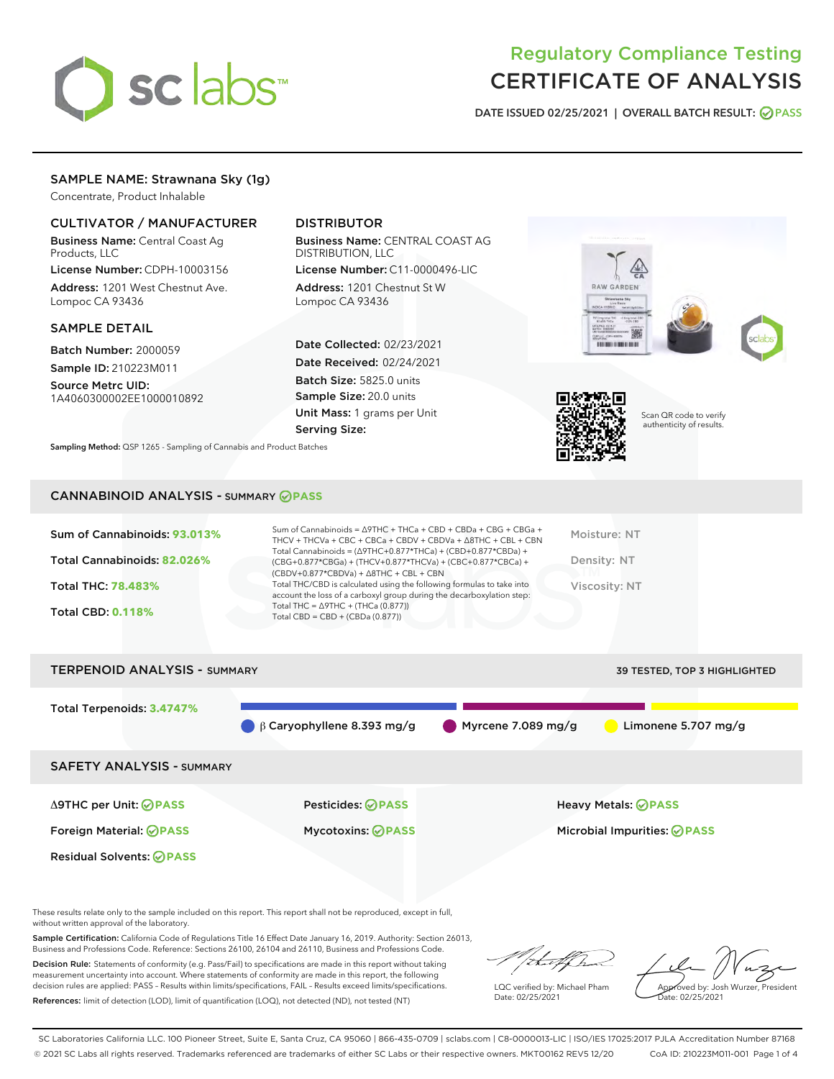

# Regulatory Compliance Testing CERTIFICATE OF ANALYSIS

DATE ISSUED 02/25/2021 | OVERALL BATCH RESULT: @ PASS

# SAMPLE NAME: Strawnana Sky (1g)

Concentrate, Product Inhalable

# CULTIVATOR / MANUFACTURER

Business Name: Central Coast Ag Products, LLC

License Number: CDPH-10003156 Address: 1201 West Chestnut Ave. Lompoc CA 93436

#### SAMPLE DETAIL

Batch Number: 2000059 Sample ID: 210223M011

Source Metrc UID: 1A4060300002EE1000010892

# DISTRIBUTOR

Business Name: CENTRAL COAST AG DISTRIBUTION, LLC

License Number: C11-0000496-LIC Address: 1201 Chestnut St W Lompoc CA 93436

Date Collected: 02/23/2021 Date Received: 02/24/2021 Batch Size: 5825.0 units Sample Size: 20.0 units Unit Mass: 1 grams per Unit Serving Size:

Sampling Method: QSP 1265 - Sampling of Cannabis and Product Batches

# **BALLASTIC COMMUNISTIC**



Scan QR code to verify authenticity of results.

# CANNABINOID ANALYSIS - SUMMARY **PASS**

| Sum of Cannabinoids: 93.013% | Sum of Cannabinoids = $\triangle$ 9THC + THCa + CBD + CBDa + CBG + CBGa +<br>THCV + THCVa + CBC + CBCa + CBDV + CBDVa + $\Delta$ 8THC + CBL + CBN                                    | Moisture: NT  |
|------------------------------|--------------------------------------------------------------------------------------------------------------------------------------------------------------------------------------|---------------|
| Total Cannabinoids: 82.026%  | Total Cannabinoids = $(\Delta$ 9THC+0.877*THCa) + (CBD+0.877*CBDa) +<br>(CBG+0.877*CBGa) + (THCV+0.877*THCVa) + (CBC+0.877*CBCa) +<br>$(CBDV+0.877*CBDVa) + \Delta 8THC + CBL + CBN$ | Density: NT   |
| Total THC: 78.483%           | Total THC/CBD is calculated using the following formulas to take into<br>account the loss of a carboxyl group during the decarboxylation step:                                       | Viscosity: NT |
| <b>Total CBD: 0.118%</b>     | Total THC = $\triangle$ 9THC + (THCa (0.877))<br>Total CBD = $CBD + (CBDa (0.877))$                                                                                                  |               |
|                              |                                                                                                                                                                                      |               |

| <b>TERPENOID ANALYSIS - SUMMARY</b> |                                  |                             | 39 TESTED, TOP 3 HIGHLIGHTED |
|-------------------------------------|----------------------------------|-----------------------------|------------------------------|
| Total Terpenoids: 3.4747%           | $\beta$ Caryophyllene 8.393 mg/g | Myrcene 7.089 mg/g          | Limonene 5.707 mg/g          |
| <b>SAFETY ANALYSIS - SUMMARY</b>    |                                  |                             |                              |
| ∆9THC per Unit: ⊘PASS               | <b>Pesticides: ⊘PASS</b>         | <b>Heavy Metals: ⊘ PASS</b> |                              |
| Foreign Material: <b>⊘ PASS</b>     | <b>Mycotoxins: ⊘PASS</b>         |                             | Microbial Impurities: @PASS  |
| <b>Residual Solvents: ⊘PASS</b>     |                                  |                             |                              |

These results relate only to the sample included on this report. This report shall not be reproduced, except in full, without written approval of the laboratory.

Sample Certification: California Code of Regulations Title 16 Effect Date January 16, 2019. Authority: Section 26013, Business and Professions Code. Reference: Sections 26100, 26104 and 26110, Business and Professions Code.

Decision Rule: Statements of conformity (e.g. Pass/Fail) to specifications are made in this report without taking measurement uncertainty into account. Where statements of conformity are made in this report, the following decision rules are applied: PASS – Results within limits/specifications, FAIL – Results exceed limits/specifications. References: limit of detection (LOD), limit of quantification (LOQ), not detected (ND), not tested (NT)

/that f h

LQC verified by: Michael Pham Date: 02/25/2021

Approved by: Josh Wurzer, President ate: 02/25/2021

SC Laboratories California LLC. 100 Pioneer Street, Suite E, Santa Cruz, CA 95060 | 866-435-0709 | sclabs.com | C8-0000013-LIC | ISO/IES 17025:2017 PJLA Accreditation Number 87168 © 2021 SC Labs all rights reserved. Trademarks referenced are trademarks of either SC Labs or their respective owners. MKT00162 REV5 12/20 CoA ID: 210223M011-001 Page 1 of 4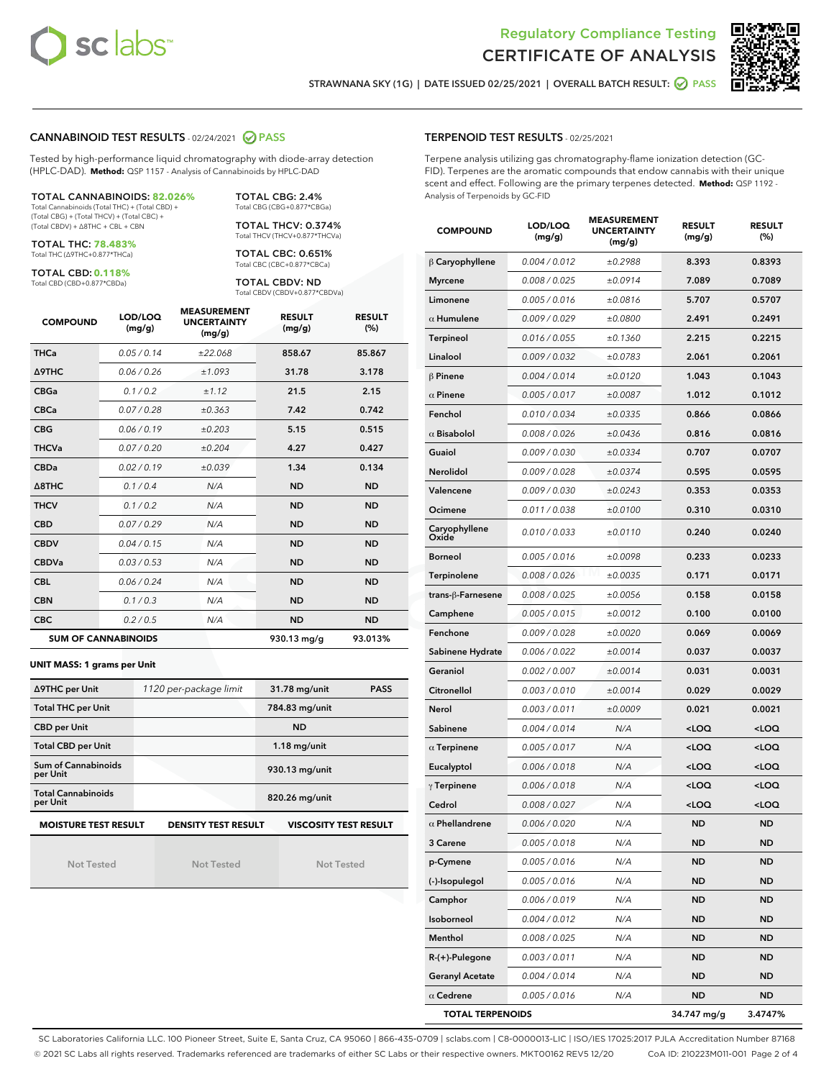



STRAWNANA SKY (1G) | DATE ISSUED 02/25/2021 | OVERALL BATCH RESULT: @ PASS

#### CANNABINOID TEST RESULTS - 02/24/2021 2 PASS

Tested by high-performance liquid chromatography with diode-array detection (HPLC-DAD). **Method:** QSP 1157 - Analysis of Cannabinoids by HPLC-DAD

TOTAL CANNABINOIDS: **82.026%** Total Cannabinoids (Total THC) + (Total CBD) + (Total CBG) + (Total THCV) + (Total CBC) + (Total CBDV) + ∆8THC + CBL + CBN

TOTAL THC: **78.483%**

Total THC (∆9THC+0.877\*THCa)

TOTAL CBD: **0.118%** Total CBD (CBD+0.877\*CBDa)

TOTAL THCV: 0.374% Total THCV (THCV+0.877\*THCVa) TOTAL CBC: 0.651%

TOTAL CBG: 2.4% Total CBG (CBG+0.877\*CBGa)

Total CBC (CBC+0.877\*CBCa) TOTAL CBDV: ND Total CBDV (CBDV+0.877\*CBDVa)

| <b>COMPOUND</b> | LOD/LOQ<br>(mg/g)          | <b>MEASUREMENT</b><br><b>UNCERTAINTY</b><br>(mg/g) | <b>RESULT</b><br>(mg/g) | <b>RESULT</b><br>(%) |
|-----------------|----------------------------|----------------------------------------------------|-------------------------|----------------------|
| <b>THCa</b>     | 0.05/0.14                  | ±22.068                                            | 858.67                  | 85.867               |
| <b>A9THC</b>    | 0.06 / 0.26                | ±1.093                                             | 31.78                   | 3.178                |
| <b>CBGa</b>     | 0.1 / 0.2                  | ±1.12                                              | 21.5                    | 2.15                 |
| <b>CBCa</b>     | 0.07/0.28                  | ±0.363                                             | 7.42                    | 0.742                |
| <b>CBG</b>      | 0.06/0.19                  | ±0.203                                             | 5.15                    | 0.515                |
| <b>THCVa</b>    | 0.07/0.20                  | ±0.204                                             | 4.27                    | 0.427                |
| <b>CBDa</b>     | 0.02/0.19                  | ±0.039                                             | 1.34                    | 0.134                |
| A8THC           | 0.1/0.4                    | N/A                                                | <b>ND</b>               | <b>ND</b>            |
| <b>THCV</b>     | 0.1/0.2                    | N/A                                                | <b>ND</b>               | <b>ND</b>            |
| <b>CBD</b>      | 0.07/0.29                  | N/A                                                | <b>ND</b>               | <b>ND</b>            |
| <b>CBDV</b>     | 0.04 / 0.15                | N/A                                                | <b>ND</b>               | <b>ND</b>            |
| <b>CBDVa</b>    | 0.03/0.53                  | N/A                                                | <b>ND</b>               | <b>ND</b>            |
| <b>CBL</b>      | 0.06 / 0.24                | N/A                                                | <b>ND</b>               | <b>ND</b>            |
| <b>CBN</b>      | 0.1/0.3                    | N/A                                                | <b>ND</b>               | <b>ND</b>            |
| <b>CBC</b>      | 0.2 / 0.5                  | N/A                                                | <b>ND</b>               | <b>ND</b>            |
|                 | <b>SUM OF CANNABINOIDS</b> |                                                    | $930.13$ mg/g           | 93.013%              |

#### **UNIT MASS: 1 grams per Unit**

| ∆9THC per Unit                        | 1120 per-package limit     | 31.78 mg/unit<br><b>PASS</b> |  |
|---------------------------------------|----------------------------|------------------------------|--|
| <b>Total THC per Unit</b>             |                            | 784.83 mg/unit               |  |
| <b>CBD per Unit</b>                   |                            | <b>ND</b>                    |  |
| <b>Total CBD per Unit</b>             |                            | $1.18$ mg/unit               |  |
| Sum of Cannabinoids<br>per Unit       |                            | 930.13 mg/unit               |  |
| <b>Total Cannabinoids</b><br>per Unit |                            | 820.26 mg/unit               |  |
| <b>MOISTURE TEST RESULT</b>           | <b>DENSITY TEST RESULT</b> | <b>VISCOSITY TEST RESULT</b> |  |

Not Tested

**MOISTURE TEST RESULT**

Not Tested

Not Tested

#### TERPENOID TEST RESULTS - 02/25/2021

Terpene analysis utilizing gas chromatography-flame ionization detection (GC-FID). Terpenes are the aromatic compounds that endow cannabis with their unique scent and effect. Following are the primary terpenes detected. **Method:** QSP 1192 - Analysis of Terpenoids by GC-FID

| <b>COMPOUND</b>         | LOD/LOQ<br>(mg/g) | <b>MEASUREMENT</b><br><b>UNCERTAINTY</b><br>(mg/g) | <b>RESULT</b><br>(mg/g)                         | <b>RESULT</b><br>$(\%)$ |
|-------------------------|-------------------|----------------------------------------------------|-------------------------------------------------|-------------------------|
| $\beta$ Caryophyllene   | 0.004 / 0.012     | ±0.2988                                            | 8.393                                           | 0.8393                  |
| <b>Myrcene</b>          | 0.008 / 0.025     | ±0.0914                                            | 7.089                                           | 0.7089                  |
| Limonene                | 0.005 / 0.016     | ±0.0816                                            | 5.707                                           | 0.5707                  |
| $\alpha$ Humulene       | 0.009/0.029       | ±0.0800                                            | 2.491                                           | 0.2491                  |
| Terpineol               | 0.016 / 0.055     | ±0.1360                                            | 2.215                                           | 0.2215                  |
| Linalool                | 0.009 / 0.032     | ±0.0783                                            | 2.061                                           | 0.2061                  |
| $\beta$ Pinene          | 0.004 / 0.014     | ±0.0120                                            | 1.043                                           | 0.1043                  |
| $\alpha$ Pinene         | 0.005 / 0.017     | ±0.0087                                            | 1.012                                           | 0.1012                  |
| Fenchol                 | 0.010 / 0.034     | ±0.0335                                            | 0.866                                           | 0.0866                  |
| $\alpha$ Bisabolol      | 0.008 / 0.026     | ±0.0436                                            | 0.816                                           | 0.0816                  |
| Guaiol                  | 0.009 / 0.030     | ±0.0334                                            | 0.707                                           | 0.0707                  |
| <b>Nerolidol</b>        | 0.009 / 0.028     | ±0.0374                                            | 0.595                                           | 0.0595                  |
| Valencene               | 0.009 / 0.030     | ±0.0243                                            | 0.353                                           | 0.0353                  |
| Ocimene                 | 0.011 / 0.038     | ±0.0100                                            | 0.310                                           | 0.0310                  |
| Caryophyllene<br>Oxide  | 0.010 / 0.033     | ±0.0110                                            | 0.240                                           | 0.0240                  |
| <b>Borneol</b>          | 0.005 / 0.016     | ±0.0098                                            | 0.233                                           | 0.0233                  |
| Terpinolene             | 0.008 / 0.026     | ±0.0035                                            | 0.171                                           | 0.0171                  |
| trans-β-Farnesene       | 0.008 / 0.025     | ±0.0056                                            | 0.158                                           | 0.0158                  |
| Camphene                | 0.005 / 0.015     | ±0.0012                                            | 0.100                                           | 0.0100                  |
| Fenchone                | 0.009 / 0.028     | ±0.0020                                            | 0.069                                           | 0.0069                  |
| Sabinene Hydrate        | 0.006 / 0.022     | ±0.0014                                            | 0.037                                           | 0.0037                  |
| Geraniol                | 0.002 / 0.007     | ±0.0014                                            | 0.031                                           | 0.0031                  |
| Citronellol             | 0.003 / 0.010     | ±0.0014                                            | 0.029                                           | 0.0029                  |
| Nerol                   | 0.003 / 0.011     | ±0.0009                                            | 0.021                                           | 0.0021                  |
| Sabinene                | 0.004 / 0.014     | N/A                                                | <loq< th=""><th><loq< th=""></loq<></th></loq<> | <loq< th=""></loq<>     |
| $\alpha$ Terpinene      | 0.005 / 0.017     | N/A                                                | <loq< th=""><th><loq< th=""></loq<></th></loq<> | <loq< th=""></loq<>     |
| Eucalyptol              | 0.006 / 0.018     | N/A                                                | <loq< th=""><th><loq< th=""></loq<></th></loq<> | <loq< th=""></loq<>     |
| $\gamma$ Terpinene      | 0.006 / 0.018     | N/A                                                | <loq< th=""><th><loq< th=""></loq<></th></loq<> | <loq< th=""></loq<>     |
| Cedrol                  | 0.008 / 0.027     | N/A                                                | <loq< th=""><th><loq< th=""></loq<></th></loq<> | <loq< th=""></loq<>     |
| $\alpha$ Phellandrene   | 0.006 / 0.020     | N/A                                                | <b>ND</b>                                       | ND                      |
| 3 Carene                | 0.005 / 0.018     | N/A                                                | ND                                              | ND                      |
| p-Cymene                | 0.005 / 0.016     | N/A                                                | ND                                              | ND                      |
| (-)-Isopulegol          | 0.005 / 0.016     | N/A                                                | <b>ND</b>                                       | ND                      |
| Camphor                 | 0.006 / 0.019     | N/A                                                | ND                                              | ND                      |
| Isoborneol              | 0.004 / 0.012     | N/A                                                | ND                                              | ND                      |
| Menthol                 | 0.008 / 0.025     | N/A                                                | <b>ND</b>                                       | ND                      |
| R-(+)-Pulegone          | 0.003 / 0.011     | N/A                                                | ND                                              | ND                      |
| <b>Geranyl Acetate</b>  | 0.004 / 0.014     | N/A                                                | ND                                              | ND                      |
| $\alpha$ Cedrene        | 0.005 / 0.016     | N/A                                                | ND                                              | ND                      |
| <b>TOTAL TERPENOIDS</b> |                   |                                                    | 34.747 mg/g                                     | 3.4747%                 |

SC Laboratories California LLC. 100 Pioneer Street, Suite E, Santa Cruz, CA 95060 | 866-435-0709 | sclabs.com | C8-0000013-LIC | ISO/IES 17025:2017 PJLA Accreditation Number 87168 © 2021 SC Labs all rights reserved. Trademarks referenced are trademarks of either SC Labs or their respective owners. MKT00162 REV5 12/20 CoA ID: 210223M011-001 Page 2 of 4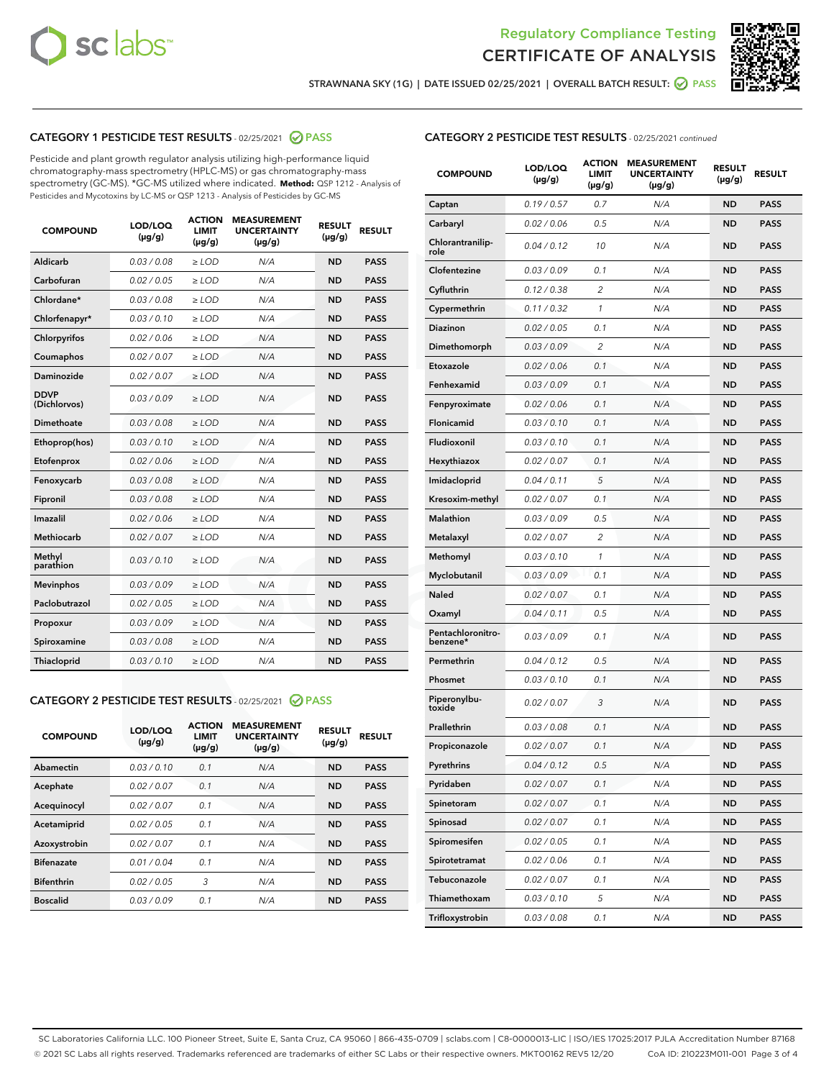



STRAWNANA SKY (1G) | DATE ISSUED 02/25/2021 | OVERALL BATCH RESULT:  $\bigcirc$  PASS

# CATEGORY 1 PESTICIDE TEST RESULTS - 02/25/2021 2 PASS

Pesticide and plant growth regulator analysis utilizing high-performance liquid chromatography-mass spectrometry (HPLC-MS) or gas chromatography-mass spectrometry (GC-MS). \*GC-MS utilized where indicated. **Method:** QSP 1212 - Analysis of Pesticides and Mycotoxins by LC-MS or QSP 1213 - Analysis of Pesticides by GC-MS

| <b>COMPOUND</b>             | LOD/LOQ<br>$(\mu g/g)$ | <b>ACTION</b><br><b>LIMIT</b><br>$(\mu g/g)$ | <b>MEASUREMENT</b><br><b>UNCERTAINTY</b><br>$(\mu g/g)$ | <b>RESULT</b><br>$(\mu g/g)$ | <b>RESULT</b> |
|-----------------------------|------------------------|----------------------------------------------|---------------------------------------------------------|------------------------------|---------------|
| Aldicarb                    | 0.03 / 0.08            | $\ge$ LOD                                    | N/A                                                     | <b>ND</b>                    | <b>PASS</b>   |
| Carbofuran                  | 0.02/0.05              | $>$ LOD                                      | N/A                                                     | <b>ND</b>                    | <b>PASS</b>   |
| Chlordane*                  | 0.03 / 0.08            | $\ge$ LOD                                    | N/A                                                     | <b>ND</b>                    | <b>PASS</b>   |
| Chlorfenapyr*               | 0.03/0.10              | $\ge$ LOD                                    | N/A                                                     | <b>ND</b>                    | <b>PASS</b>   |
| Chlorpyrifos                | 0.02 / 0.06            | $\ge$ LOD                                    | N/A                                                     | <b>ND</b>                    | <b>PASS</b>   |
| Coumaphos                   | 0.02 / 0.07            | $\ge$ LOD                                    | N/A                                                     | <b>ND</b>                    | <b>PASS</b>   |
| <b>Daminozide</b>           | 0.02 / 0.07            | $\ge$ LOD                                    | N/A                                                     | <b>ND</b>                    | <b>PASS</b>   |
| <b>DDVP</b><br>(Dichlorvos) | 0.03/0.09              | $\ge$ LOD                                    | N/A                                                     | <b>ND</b>                    | <b>PASS</b>   |
| <b>Dimethoate</b>           | 0.03 / 0.08            | $\ge$ LOD                                    | N/A                                                     | <b>ND</b>                    | <b>PASS</b>   |
| Ethoprop(hos)               | 0.03/0.10              | $\ge$ LOD                                    | N/A                                                     | <b>ND</b>                    | <b>PASS</b>   |
| Etofenprox                  | 0.02 / 0.06            | $\ge$ LOD                                    | N/A                                                     | <b>ND</b>                    | <b>PASS</b>   |
| Fenoxycarb                  | 0.03/0.08              | $\ge$ LOD                                    | N/A                                                     | <b>ND</b>                    | <b>PASS</b>   |
| Fipronil                    | 0.03 / 0.08            | $>$ LOD                                      | N/A                                                     | <b>ND</b>                    | <b>PASS</b>   |
| <b>Imazalil</b>             | 0.02 / 0.06            | $\ge$ LOD                                    | N/A                                                     | <b>ND</b>                    | <b>PASS</b>   |
| <b>Methiocarb</b>           | 0.02 / 0.07            | $\ge$ LOD                                    | N/A                                                     | <b>ND</b>                    | <b>PASS</b>   |
| Methyl<br>parathion         | 0.03/0.10              | $\ge$ LOD                                    | N/A                                                     | <b>ND</b>                    | <b>PASS</b>   |
| <b>Mevinphos</b>            | 0.03/0.09              | $>$ LOD                                      | N/A                                                     | <b>ND</b>                    | <b>PASS</b>   |
| Paclobutrazol               | 0.02 / 0.05            | $\ge$ LOD                                    | N/A                                                     | <b>ND</b>                    | <b>PASS</b>   |
| Propoxur                    | 0.03/0.09              | $>$ LOD                                      | N/A                                                     | <b>ND</b>                    | <b>PASS</b>   |
| Spiroxamine                 | 0.03 / 0.08            | $\ge$ LOD                                    | N/A                                                     | <b>ND</b>                    | <b>PASS</b>   |
| <b>Thiacloprid</b>          | 0.03/0.10              | $\ge$ LOD                                    | N/A                                                     | <b>ND</b>                    | <b>PASS</b>   |

#### CATEGORY 2 PESTICIDE TEST RESULTS - 02/25/2021 @ PASS

| <b>COMPOUND</b>   | LOD/LOQ<br>$(\mu g/g)$ | <b>ACTION</b><br><b>LIMIT</b><br>$(\mu g/g)$ | <b>MEASUREMENT</b><br><b>UNCERTAINTY</b><br>$(\mu g/g)$ | <b>RESULT</b><br>$(\mu g/g)$ | <b>RESULT</b> |
|-------------------|------------------------|----------------------------------------------|---------------------------------------------------------|------------------------------|---------------|
| Abamectin         | 0.03/0.10              | 0.1                                          | N/A                                                     | <b>ND</b>                    | <b>PASS</b>   |
| Acephate          | 0.02/0.07              | 0.1                                          | N/A                                                     | <b>ND</b>                    | <b>PASS</b>   |
| Acequinocyl       | 0.02/0.07              | 0.1                                          | N/A                                                     | <b>ND</b>                    | <b>PASS</b>   |
| Acetamiprid       | 0.02/0.05              | 0.1                                          | N/A                                                     | <b>ND</b>                    | <b>PASS</b>   |
| Azoxystrobin      | 0.02/0.07              | 0.1                                          | N/A                                                     | <b>ND</b>                    | <b>PASS</b>   |
| <b>Bifenazate</b> | 0.01/0.04              | 0.1                                          | N/A                                                     | <b>ND</b>                    | <b>PASS</b>   |
| <b>Bifenthrin</b> | 0.02/0.05              | 3                                            | N/A                                                     | <b>ND</b>                    | <b>PASS</b>   |
| <b>Boscalid</b>   | 0.03/0.09              | 0.1                                          | N/A                                                     | <b>ND</b>                    | <b>PASS</b>   |

| <b>CATEGORY 2 PESTICIDE TEST RESULTS</b> - 02/25/2021 continued |
|-----------------------------------------------------------------|
|-----------------------------------------------------------------|

| <b>COMPOUND</b>               | LOD/LOQ<br>$(\mu g/g)$ | <b>ACTION</b><br>LIMIT<br>$(\mu g/g)$ | <b>MEASUREMENT</b><br><b>UNCERTAINTY</b><br>(µg/g) | <b>RESULT</b><br>(µg/g) | <b>RESULT</b> |
|-------------------------------|------------------------|---------------------------------------|----------------------------------------------------|-------------------------|---------------|
| Captan                        | 0.19/0.57              | 0.7                                   | N/A                                                | <b>ND</b>               | <b>PASS</b>   |
| Carbaryl                      | 0.02 / 0.06            | 0.5                                   | N/A                                                | ND                      | <b>PASS</b>   |
| Chlorantranilip-<br>role      | 0.04/0.12              | 10                                    | N/A                                                | ND                      | <b>PASS</b>   |
| Clofentezine                  | 0.03 / 0.09            | 0.1                                   | N/A                                                | ND                      | <b>PASS</b>   |
| Cyfluthrin                    | 0.12 / 0.38            | 2                                     | N/A                                                | ND                      | <b>PASS</b>   |
| Cypermethrin                  | 0.11 / 0.32            | 1                                     | N/A                                                | ND                      | <b>PASS</b>   |
| <b>Diazinon</b>               | 0.02 / 0.05            | 0.1                                   | N/A                                                | ND                      | <b>PASS</b>   |
| Dimethomorph                  | 0.03 / 0.09            | 2                                     | N/A                                                | ND                      | <b>PASS</b>   |
| Etoxazole                     | 0.02 / 0.06            | 0.1                                   | N/A                                                | ND                      | <b>PASS</b>   |
| Fenhexamid                    | 0.03 / 0.09            | 0.1                                   | N/A                                                | ND                      | <b>PASS</b>   |
| Fenpyroximate                 | 0.02 / 0.06            | 0.1                                   | N/A                                                | ND                      | <b>PASS</b>   |
| Flonicamid                    | 0.03 / 0.10            | 0.1                                   | N/A                                                | ND                      | <b>PASS</b>   |
| Fludioxonil                   | 0.03/0.10              | 0.1                                   | N/A                                                | ND                      | <b>PASS</b>   |
| Hexythiazox                   | 0.02 / 0.07            | 0.1                                   | N/A                                                | ND                      | <b>PASS</b>   |
| Imidacloprid                  | 0.04/0.11              | 5                                     | N/A                                                | ND                      | <b>PASS</b>   |
| Kresoxim-methyl               | 0.02 / 0.07            | 0.1                                   | N/A                                                | ND                      | <b>PASS</b>   |
| <b>Malathion</b>              | 0.03 / 0.09            | 0.5                                   | N/A                                                | ND                      | <b>PASS</b>   |
| Metalaxyl                     | 0.02 / 0.07            | 2                                     | N/A                                                | ND                      | <b>PASS</b>   |
| Methomyl                      | 0.03 / 0.10            | 1                                     | N/A                                                | ND                      | <b>PASS</b>   |
| Myclobutanil                  | 0.03 / 0.09            | 0.1                                   | N/A                                                | ND                      | <b>PASS</b>   |
| <b>Naled</b>                  | 0.02 / 0.07            | 0.1                                   | N/A                                                | ND                      | <b>PASS</b>   |
| Oxamyl                        | 0.04 / 0.11            | 0.5                                   | N/A                                                | ND                      | <b>PASS</b>   |
| Pentachloronitro-<br>benzene* | 0.03 / 0.09            | 0.1                                   | N/A                                                | ND                      | <b>PASS</b>   |
| Permethrin                    | 0.04 / 0.12            | 0.5                                   | N/A                                                | ND                      | <b>PASS</b>   |
| Phosmet                       | 0.03 / 0.10            | 0.1                                   | N/A                                                | ND                      | <b>PASS</b>   |
| Piperonylbu-<br>toxide        | 0.02 / 0.07            | 3                                     | N/A                                                | ND                      | <b>PASS</b>   |
| Prallethrin                   | 0.03 / 0.08            | 0.1                                   | N/A                                                | ND                      | <b>PASS</b>   |
| Propiconazole                 | 0.02 / 0.07            | 0.1                                   | N/A                                                | ND                      | <b>PASS</b>   |
| Pyrethrins                    | 0.04 / 0.12            | 0.5                                   | N/A                                                | ND                      | PASS          |
| Pyridaben                     | 0.02 / 0.07            | 0.1                                   | N/A                                                | ND                      | <b>PASS</b>   |
| Spinetoram                    | 0.02 / 0.07            | 0.1                                   | N/A                                                | <b>ND</b>               | <b>PASS</b>   |
| Spinosad                      | 0.02 / 0.07            | 0.1                                   | N/A                                                | ND                      | <b>PASS</b>   |
| Spiromesifen                  | 0.02 / 0.05            | 0.1                                   | N/A                                                | ND                      | <b>PASS</b>   |
| Spirotetramat                 | 0.02 / 0.06            | 0.1                                   | N/A                                                | ND                      | <b>PASS</b>   |
| Tebuconazole                  | 0.02 / 0.07            | 0.1                                   | N/A                                                | ND                      | <b>PASS</b>   |
| Thiamethoxam                  | 0.03 / 0.10            | 5                                     | N/A                                                | ND                      | <b>PASS</b>   |
| Trifloxystrobin               | 0.03 / 0.08            | 0.1                                   | N/A                                                | ND                      | <b>PASS</b>   |

SC Laboratories California LLC. 100 Pioneer Street, Suite E, Santa Cruz, CA 95060 | 866-435-0709 | sclabs.com | C8-0000013-LIC | ISO/IES 17025:2017 PJLA Accreditation Number 87168 © 2021 SC Labs all rights reserved. Trademarks referenced are trademarks of either SC Labs or their respective owners. MKT00162 REV5 12/20 CoA ID: 210223M011-001 Page 3 of 4